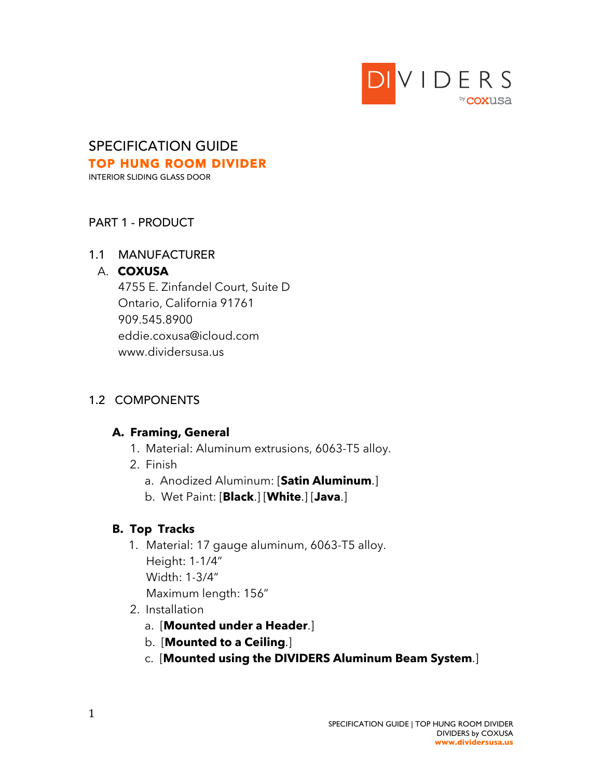

# SPECIFICATION GUIDE TOP HUNG ROOM DIVIDER

INTERIOR SLIDING GLASS DOOR

#### PART 1 - PRODUCT

#### 1.1 MANUFACTURER

#### A. **COXUSA**

 4755 E. Zinfandel Court, Suite D Ontario, California 91761 909.545.8900 eddie.coxusa@icloud.com www.dividersusa.us

#### 1.2 COMPONENTS

#### **A. Framing, General**

- 1. Material: Aluminum extrusions, 6063-T5 alloy.
- 2. Finish
	- a. Anodized Aluminum: [**Satin Aluminum**.]
	- b. Wet Paint: [**Black**.] [**White**.] [**Java**.]

#### **B. Top Tracks**

- 1. Material: 17 gauge aluminum, 6063-T5 alloy. Height: 1-1/4" Width: 1-3/4" Maximum length: 156"
- 2. Installation
	- a. [**Mounted under a Header**.]
	- b. [**Mounted to a Ceiling**.]
	- c. [**Mounted using the DIVIDERS Aluminum Beam System**.]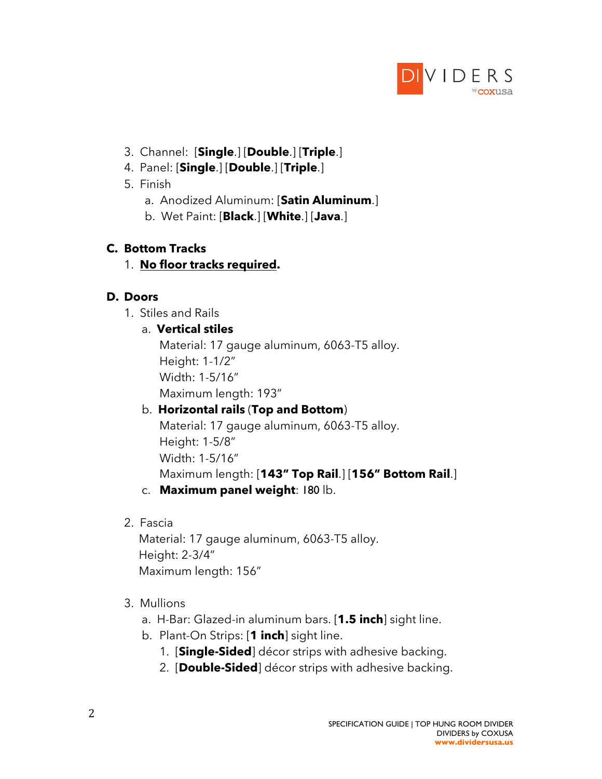

- 3. Channel: [**Single**.] [**Double**.] [**Triple**.]
- 4. Panel: [**Single**.] [**Double**.] [**Triple**.]
- 5. Finish
	- a. Anodized Aluminum: [**Satin Aluminum**.]
	- b. Wet Paint: [**Black**.] [**White**.] [**Java**.]

## **C. Bottom Tracks**

1. **No floor tracks required.**

## **D. Doors**

- 1. Stiles and Rails
	- a. **Vertical stiles**

Material: 17 gauge aluminum, 6063-T5 alloy. Height: 1-1/2" Width: 1-5/16"

Maximum length: 193"

# b. **Horizontal rails** (**Top and Bottom**)

Material: 17 gauge aluminum, 6063-T5 alloy. Height: 1-5/8" Width: 1-5/16" Maximum length: [**143" Top Rail**.] [**156" Bottom Rail**.]

- c. **Maximum panel weight**: 180 lb.
- 2. Fascia

Material: 17 gauge aluminum, 6063-T5 alloy. Height: 2-3/4" Maximum length: 156"

# 3. Mullions

- a. H-Bar: Glazed-in aluminum bars. [**1.5 inch**] sight line.
- b. Plant-On Strips: [**1 inch**] sight line.
	- 1. [**Single-Sided**] décor strips with adhesive backing.
	- 2. [**Double-Sided**] décor strips with adhesive backing.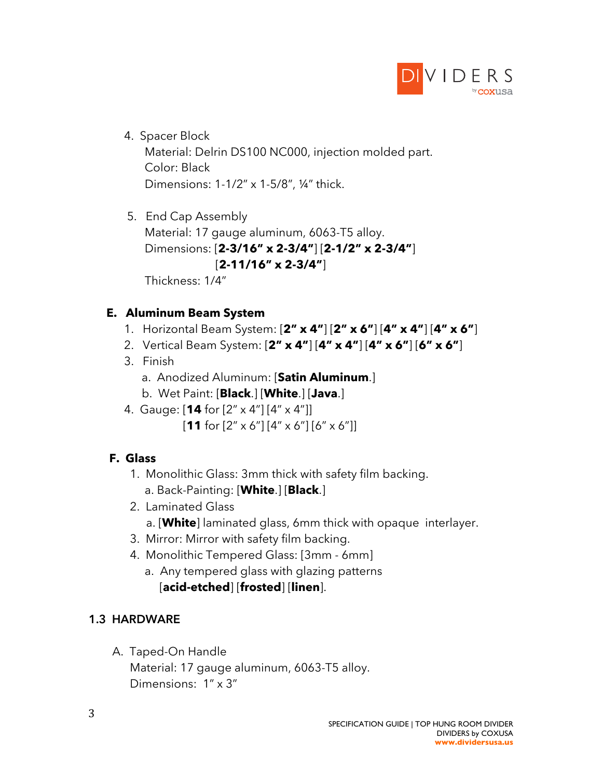

- 4. Spacer Block Material: Delrin DS100 NC000, injection molded part. Color: Black Dimensions: 1-1/2" x 1-5/8", ¼" thick.
- 5. End Cap Assembly Material: 17 gauge aluminum, 6063-T5 alloy. Dimensions: [**2-3/16" x 2-3/4"**] [**2-1/2" x 2-3/4"**] [**2-11/16" x 2-3/4"**] Thickness: 1/4"

### **E. Aluminum Beam System**

- 1. Horizontal Beam System: [**2" x 4"**] [**2" x 6"**] [**4" x 4"**] [**4" x 6"**]
- 2. Vertical Beam System: [**2" x 4"**] [**4" x 4"**] [**4" x 6"**] [**6" x 6"**]
- 3. Finish
	- a. Anodized Aluminum: [**Satin Aluminum**.]
	- b. Wet Paint: [**Black**.] [**White**.] [**Java**.]
- 4. Gauge: [**14** for [2" x 4"] [4" x 4"]] [**11** for [2" x 6"] [4" x 6"] [6" x 6"]]

## **F. Glass**

- 1. Monolithic Glass: 3mm thick with safety film backing. a. Back-Painting: [**White**.] [**Black**.]
- 2. Laminated Glass a. [**White**] laminated glass, 6mm thick with opaque interlayer.
- 3. Mirror: Mirror with safety film backing.
- 4. Monolithic Tempered Glass: [3mm 6mm]
	- a. Any tempered glass with glazing patterns [**acid-etched**] [**frosted**] [**linen**].

## **1.3 HARDWARE**

 A. Taped-On Handle Material: 17 gauge aluminum, 6063-T5 alloy. Dimensions: 1" x 3"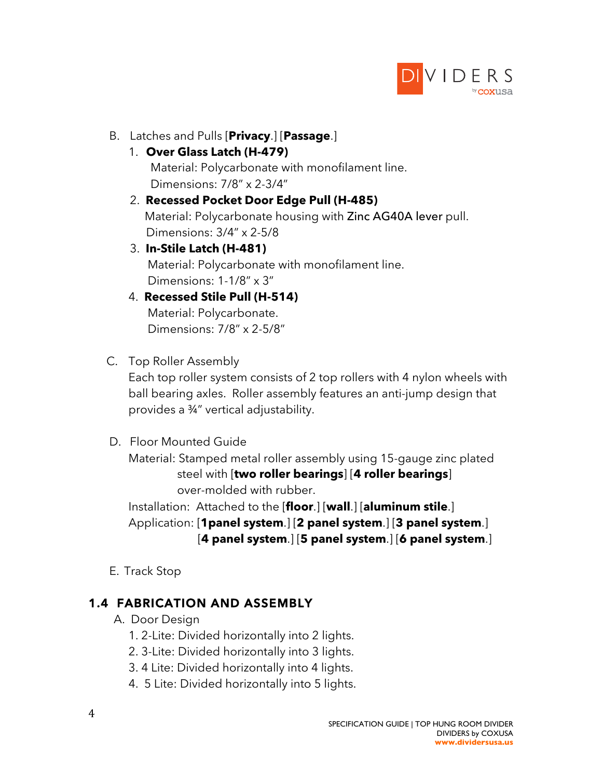

#### B. Latches and Pulls [**Privacy**.] [**Passage**.]

1. **Over Glass Latch (H-479)**

Material: Polycarbonate with monofilament line. Dimensions: 7/8" x 2-3/4"

- 2. **Recessed Pocket Door Edge Pull (H-485)** Material: Polycarbonate housing with Zinc AG40A lever pull. Dimensions: 3/4" x 2-5/8
- 3. **In-Stile Latch (H-481)** Material: Polycarbonate with monofilament line. Dimensions: 1-1/8" x 3"

# 4. **Recessed Stile Pull (H-514)** Material: Polycarbonate.

Dimensions: 7/8" x 2-5/8"

#### C. Top Roller Assembly

Each top roller system consists of 2 top rollers with 4 nylon wheels with ball bearing axles. Roller assembly features an anti-jump design that provides a ¾" vertical adjustability.

#### D. Floor Mounted Guide

Material: Stamped metal roller assembly using 15-gauge zinc plated steel with [**two roller bearings**] [**4 roller bearings**] over-molded with rubber.

Installation: Attached to the [**floor**.] [**wall**.] [**aluminum stile**.]

Application: [**1panel system**.] [**2 panel system**.] [**3 panel system**.]

[**4 panel system**.] [**5 panel system**.] [**6 panel system**.]

E. Track Stop

# **1.4 FABRICATION AND ASSEMBLY**

- A. Door Design
	- 1. 2-Lite: Divided horizontally into 2 lights.
	- 2. 3-Lite: Divided horizontally into 3 lights.
	- 3. 4 Lite: Divided horizontally into 4 lights.
	- 4. 5 Lite: Divided horizontally into 5 lights.